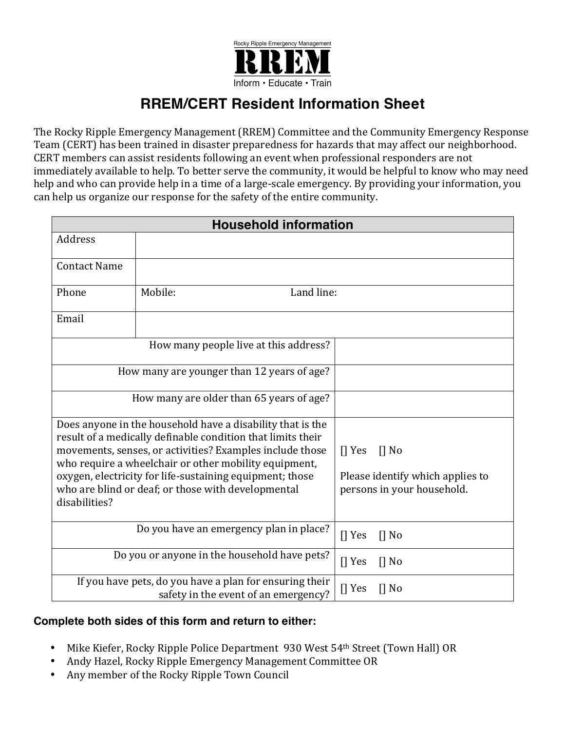

## **RREM/CERT Resident Information Sheet**

The Rocky Ripple Emergency Management (RREM) Committee and the Community Emergency Response Team (CERT) has been trained in disaster preparedness for hazards that may affect our neighborhood. CERT members can assist residents following an event when professional responders are not immediately available to help. To better serve the community, it would be helpful to know who may need help and who can provide help in a time of a large-scale emergency. By providing your information, you can help us organize our response for the safety of the entire community.

| <b>Household information</b>                                                                                                    |                       |                                                                |
|---------------------------------------------------------------------------------------------------------------------------------|-----------------------|----------------------------------------------------------------|
| Address                                                                                                                         |                       |                                                                |
| <b>Contact Name</b>                                                                                                             |                       |                                                                |
| Phone                                                                                                                           | Mobile:<br>Land line: |                                                                |
| Email                                                                                                                           |                       |                                                                |
| How many people live at this address?                                                                                           |                       |                                                                |
| How many are younger than 12 years of age?                                                                                      |                       |                                                                |
| How many are older than 65 years of age?                                                                                        |                       |                                                                |
| Does anyone in the household have a disability that is the<br>result of a medically definable condition that limits their       |                       |                                                                |
| movements, senses, or activities? Examples include those<br>who require a wheelchair or other mobility equipment,               |                       | $\prod$ Yes<br>$\prod$ No                                      |
| oxygen, electricity for life-sustaining equipment; those<br>who are blind or deaf; or those with developmental<br>disabilities? |                       | Please identify which applies to<br>persons in your household. |
| Do you have an emergency plan in place?                                                                                         |                       | $\prod$ Yes<br>$\prod$ No                                      |
| Do you or anyone in the household have pets?                                                                                    |                       | $[]$ Yes<br>$\prod$ No                                         |
| If you have pets, do you have a plan for ensuring their<br>safety in the event of an emergency?                                 |                       | $\prod$ Yes<br>$\prod$ No                                      |

## **Complete both sides of this form and return to either:**

- Mike Kiefer, Rocky Ripple Police Department 930 West 54<sup>th</sup> Street (Town Hall) OR
- Andy Hazel, Rocky Ripple Emergency Management Committee OR
- Any member of the Rocky Ripple Town Council